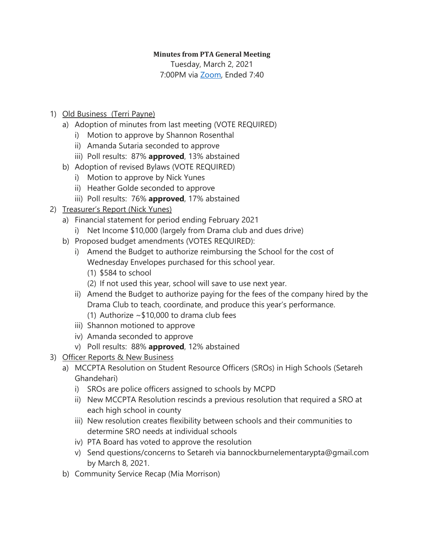## **Minutes from PTA General Meeting**

Tuesday, March 2, 2021 7:00PM via [Zoom,](https://us02web.zoom.us/j/82478120937?pwd=Y3FPUWVDZlNwUEdINkxjSnNhK0dpZz09) Ended 7:40

- 1) Old Business (Terri Payne)
	- a) Adoption of minutes from last meeting (VOTE REQUIRED)
		- i) Motion to approve by Shannon Rosenthal
		- ii) Amanda Sutaria seconded to approve
		- iii) Poll results: 87% **approved**, 13% abstained
	- b) Adoption of revised Bylaws (VOTE REQUIRED)
		- i) Motion to approve by Nick Yunes
		- ii) Heather Golde seconded to approve
		- iii) Poll results: 76% **approved**, 17% abstained

## 2) Treasurer's Report (Nick Yunes)

- a) Financial statement for period ending February 2021
	- i) Net Income \$10,000 (largely from Drama club and dues drive)
- b) Proposed budget amendments (VOTES REQUIRED):
	- i) Amend the Budget to authorize reimbursing the School for the cost of Wednesday Envelopes purchased for this school year.
		- (1) \$584 to school
		- (2) If not used this year, school will save to use next year.
	- ii) Amend the Budget to authorize paying for the fees of the company hired by the Drama Club to teach, coordinate, and produce this year's performance. (1) Authorize  $\sim$  \$10,000 to drama club fees
	- iii) Shannon motioned to approve
	- iv) Amanda seconded to approve
	- v) Poll results: 88% **approved**, 12% abstained
- 3) Officer Reports & New Business
	- a) MCCPTA Resolution on Student Resource Officers (SROs) in High Schools (Setareh Ghandehari)
		- i) SROs are police officers assigned to schools by MCPD
		- ii) New MCCPTA Resolution rescinds a previous resolution that required a SRO at each high school in county
		- iii) New resolution creates flexibility between schools and their communities to determine SRO needs at individual schools
		- iv) PTA Board has voted to approve the resolution
		- v) Send questions/concerns to Setareh via bannockburnelementarypta@gmail.com by March 8, 2021.
	- b) Community Service Recap (Mia Morrison)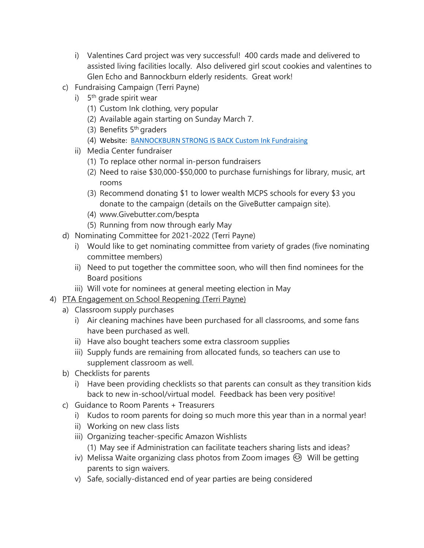- i) Valentines Card project was very successful! 400 cards made and delivered to assisted living facilities locally. Also delivered girl scout cookies and valentines to Glen Echo and Bannockburn elderly residents. Great work!
- c) Fundraising Campaign (Terri Payne)
	- i) 5<sup>th</sup> grade spirit wear
		- (1) Custom Ink clothing, very popular
		- (2) Available again starting on Sunday March 7.
		- (3) Benefits 5<sup>th</sup> graders
		- (4) Website: [BANNOCKBURN STRONG IS BACK Custom Ink Fundraising](https://www.customink.com/fundraising/bes-strong-fundraiser)
	- ii) Media Center fundraiser
		- (1) To replace other normal in-person fundraisers
		- (2) Need to raise \$30,000-\$50,000 to purchase furnishings for library, music, art rooms
		- (3) Recommend donating \$1 to lower wealth MCPS schools for every \$3 you donate to the campaign (details on the GiveButter campaign site).
		- (4) www.Givebutter.com/bespta
		- (5) Running from now through early May
- d) Nominating Committee for 2021-2022 (Terri Payne)
	- i) Would like to get nominating committee from variety of grades (five nominating committee members)
	- ii) Need to put together the committee soon, who will then find nominees for the Board positions
	- iii) Will vote for nominees at general meeting election in May
- 4) PTA Engagement on School Reopening (Terri Payne)
	- a) Classroom supply purchases
		- i) Air cleaning machines have been purchased for all classrooms, and some fans have been purchased as well.
		- ii) Have also bought teachers some extra classroom supplies
		- iii) Supply funds are remaining from allocated funds, so teachers can use to supplement classroom as well.
	- b) Checklists for parents
		- i) Have been providing checklists so that parents can consult as they transition kids back to new in-school/virtual model. Feedback has been very positive!
	- c) Guidance to Room Parents + Treasurers
		- i) Kudos to room parents for doing so much more this year than in a normal year!
		- ii) Working on new class lists
		- iii) Organizing teacher-specific Amazon Wishlists (1) May see if Administration can facilitate teachers sharing lists and ideas?
		- iv) Melissa Waite organizing class photos from Zoom images  $\odot$  Will be getting parents to sign waivers.
		- v) Safe, socially-distanced end of year parties are being considered